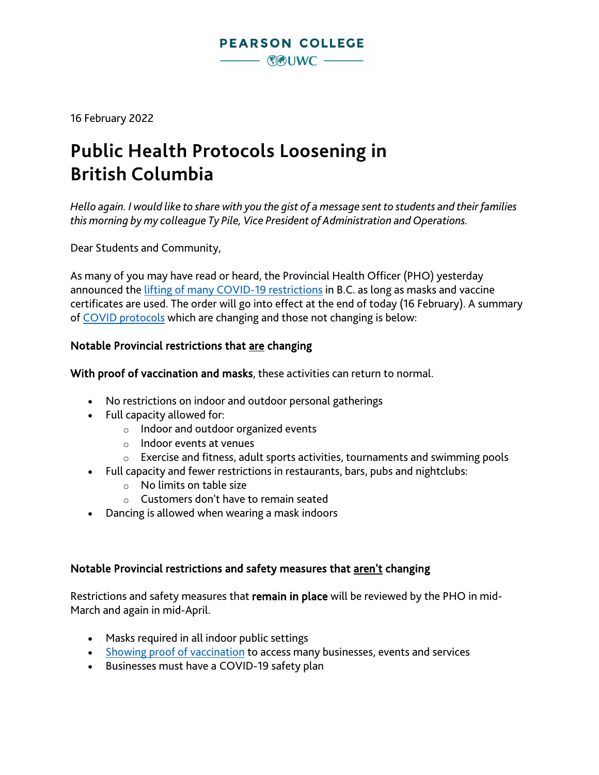16 February 2022

# **Public Health Protocols Loosening in British Columbia**

*Hello again. I would like to share with you the gist of a message sent to students and their families this morning by my colleague Ty Pile, Vice President of Administration and Operations.*

Dear Students and Community,

As many of you may have read or heard, the Provincial Health Officer (PHO) yesterday announced the [lifting of many COVID-19 restrictions](https://www.cbc.ca/news/canada/british-columbia/covid-restrictions-update-1.6352614) in B.C. as long as masks and vaccine certificates are used. The order will go into effect at the end of today (16 February). A summary of [COVID protocols](https://www2.gov.bc.ca/gov/content/covid-19/info/restrictions#changes) which are changing and those not changing is below:

## Notable Provincial restrictions that are changing

With proof of vaccination and masks, these activities can return to normal.

- No restrictions on indoor and outdoor personal gatherings
- Full capacity allowed for:
	- o Indoor and outdoor organized events
	- o Indoor events at venues
	- $\circ$  Exercise and fitness, adult sports activities, tournaments and swimming pools
- Full capacity and fewer restrictions in restaurants, bars, pubs and nightclubs:
	- o No limits on table size
	- $\circ$  Customers don't have to remain seated
- Dancing is allowed when wearing a mask indoors

## Notable Provincial restrictions and safety measures that aren't changing

Restrictions and safety measures that remain in place will be reviewed by the PHO in mid-March and again in mid-April.

- Masks required in all indoor public settings
- Showing [proof of vaccination](https://www2.gov.bc.ca/gov/content/covid-19/vaccine/proof) to access many businesses, events and services
- Businesses must have a COVID-19 safety plan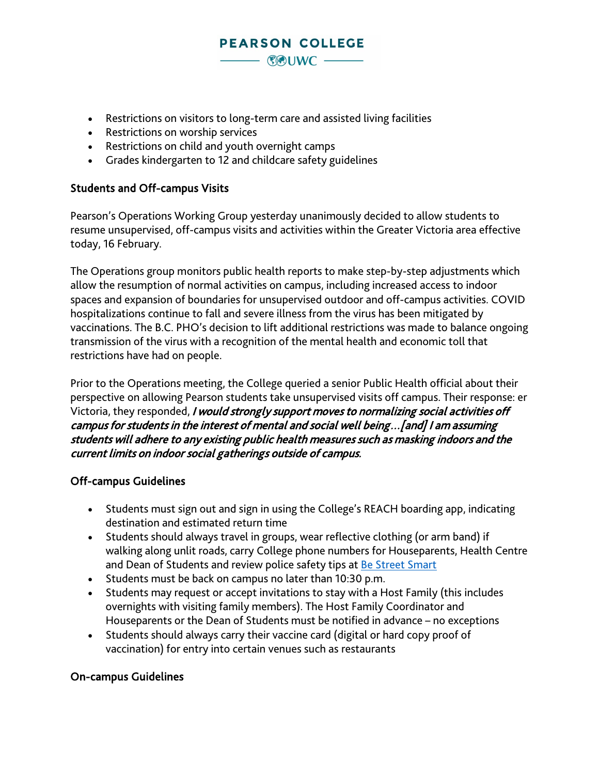## • Restrictions on visitors to long-term care and assisted living facilities

- Restrictions on worship services
- Restrictions on child and youth overnight camps
- Grades kindergarten to 12 and childcare safety guidelines

#### Students and Off-campus Visits

Pearson's Operations Working Group yesterday unanimously decided to allow students to resume unsupervised, off-campus visits and activities within the Greater Victoria area effective today, 16 February.

**PEARSON COLLEGE** 

 $-$  COUWC  $-$ 

The Operations group monitors public health reports to make step-by-step adjustments which allow the resumption of normal activities on campus, including increased access to indoor spaces and expansion of boundaries for unsupervised outdoor and off-campus activities. COVID hospitalizations continue to fall and severe illness from the virus has been mitigated by vaccinations. The B.C. PHO's decision to lift additional restrictions was made to balance ongoing transmission of the virus with a recognition of the mental health and economic toll that restrictions have had on people.

Prior to the Operations meeting, the College queried a senior Public Health official about their perspective on allowing Pearson students take unsupervised visits off campus. Their response: er Victoria, they responded, I would strongly support moves to normalizing social activities off campus for students in the interest of mental and social well being…[and] I am assuming students will adhere to any existing public health measures such as masking indoors and the current limits on indoor social gatherings outside of campus.

#### Off-campus Guidelines

- Students must sign out and sign in using the College's REACH boarding app, indicating destination and estimated return time
- Students should always travel in groups, wear reflective clothing (or arm band) if walking along unlit roads, carry College phone numbers for Houseparents, Health Centre and Dean of Students and review police safety tips at [Be Street Smart](https://bc-cb.rcmp-grc.gc.ca/ViewPage.action?siteNodeId=2074&languageId=1&contentId=30047)
- Students must be back on campus no later than 10:30 p.m.
- Students may request or accept invitations to stay with a Host Family (this includes overnights with visiting family members). The Host Family Coordinator and Houseparents or the Dean of Students must be notified in advance – no exceptions
- Students should always carry their vaccine card (digital or hard copy proof of vaccination) for entry into certain venues such as restaurants

#### On-campus Guidelines